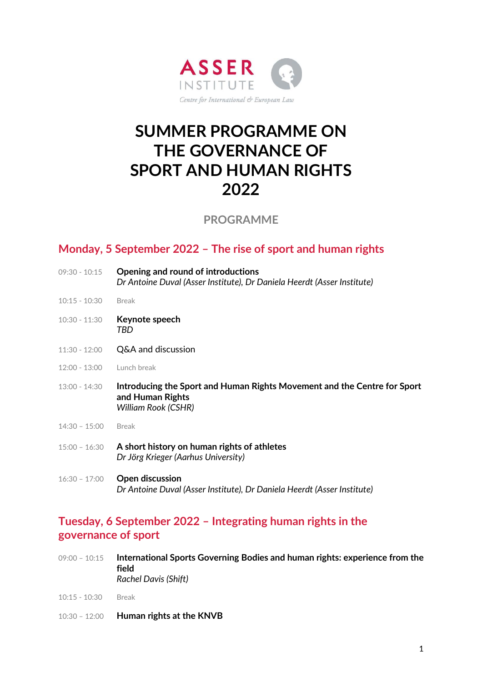

# **SUMMER PROGRAMME ON THE GOVERNANCE OF SPORT AND HUMAN RIGHTS 2022**

**PROGRAMME**

### **Monday, 5 September 2022 – The rise of sport and human rights**

| $09:30 - 10:15$ | Opening and round of introductions<br>Dr Antoine Duval (Asser Institute), Dr Daniela Heerdt (Asser Institute)       |
|-----------------|---------------------------------------------------------------------------------------------------------------------|
| $10:15 - 10:30$ | <b>Break</b>                                                                                                        |
| $10:30 - 11:30$ | Keynote speech<br>TBD                                                                                               |
| $11:30 - 12:00$ | Q&A and discussion                                                                                                  |
| $12:00 - 13:00$ | Lunch break                                                                                                         |
| $13:00 - 14:30$ | Introducing the Sport and Human Rights Movement and the Centre for Sport<br>and Human Rights<br>William Rook (CSHR) |
| $14:30 - 15:00$ | <b>Break</b>                                                                                                        |
| $15:00 - 16:30$ | A short history on human rights of athletes<br>Dr Jörg Krieger (Aarhus University)                                  |
| $16:30 - 17:00$ | Open discussion<br>Dr Antoine Duval (Asser Institute), Dr Daniela Heerdt (Asser Institute)                          |

### **Tuesday, 6 September 2022 – Integrating human rights in the governance of sport**

| $09:00 - 10:15$ | International Sports Governing Bodies and human rights: experience from the |
|-----------------|-----------------------------------------------------------------------------|
|                 | field                                                                       |
|                 | Rachel Davis (Shift)                                                        |
|                 |                                                                             |

10:15 - 10:30 Break

10:30 – 12:00 **Human rights at the KNVB**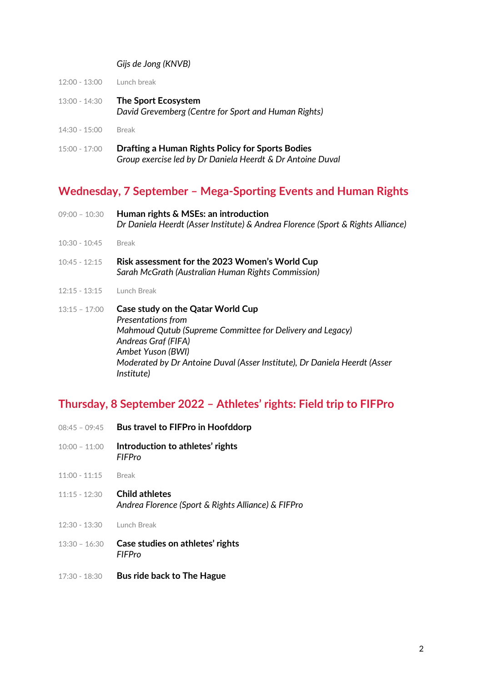#### *Gijs de Jong (KNVB)*

| 12:00 - 13:00 Lunch break |                                                                                                                |
|---------------------------|----------------------------------------------------------------------------------------------------------------|
| 13:00 - 14:30             | The Sport Ecosystem<br>David Grevemberg (Centre for Sport and Human Rights)                                    |
| $14:30 - 15:00$           | <b>Break</b>                                                                                                   |
| $15:00 - 17:00$           | Drafting a Human Rights Policy for Sports Bodies<br>Group exercise led by Dr Daniela Heerdt & Dr Antoine Duval |

## **Wednesday, 7 September – Mega-Sporting Events and Human Rights**

| $09:00 - 10:30$ | Human rights & MSEs: an introduction<br>Dr Daniela Heerdt (Asser Institute) & Andrea Florence (Sport & Rights Alliance)                                                                                                                                                   |
|-----------------|---------------------------------------------------------------------------------------------------------------------------------------------------------------------------------------------------------------------------------------------------------------------------|
| $10:30 - 10:45$ | <b>Break</b>                                                                                                                                                                                                                                                              |
| $10:45 - 12:15$ | Risk assessment for the 2023 Women's World Cup<br>Sarah McGrath (Australian Human Rights Commission)                                                                                                                                                                      |
| $12:15 - 13:15$ | Lunch Break                                                                                                                                                                                                                                                               |
| $13:15 - 17:00$ | <b>Case study on the Qatar World Cup</b><br><b>Presentations from</b><br>Mahmoud Qutub (Supreme Committee for Delivery and Legacy)<br>Andreas Graf (FIFA)<br>Ambet Yuson (BWI)<br>Moderated by Dr Antoine Duval (Asser Institute), Dr Daniela Heerdt (Asser<br>Institute) |

### **Thursday, 8 September 2022 – Athletes' rights: Field trip to FIFPro**

|                           | 08:45 - 09:45 Bus travel to FIFPro in Hoofddorp                             |
|---------------------------|-----------------------------------------------------------------------------|
| $10:00 - 11:00$           | Introduction to athletes' rights<br><b>FIFPro</b>                           |
| 11:00 - 11:15             | <b>Break</b>                                                                |
| $11:15 - 12:30$           | <b>Child athletes</b><br>Andrea Florence (Sport & Rights Alliance) & FIFPro |
| 12:30 - 13:30 Lunch Break |                                                                             |
| $13:30 - 16:30$           | Case studies on athletes' rights<br><b>FIFPro</b>                           |
| 17:30 - 18:30             | <b>Bus ride back to The Hague</b>                                           |